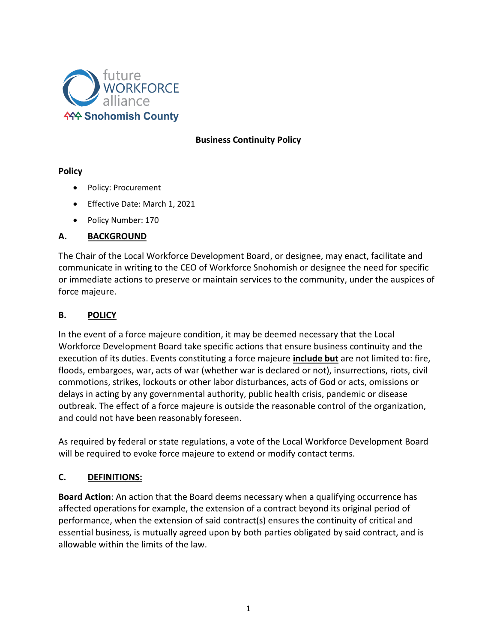

## **Business Continuity Policy**

## **Policy**

- Policy: Procurement
- Effective Date: March 1, 2021
- Policy Number: 170

## **A. BACKGROUND**

The Chair of the Local Workforce Development Board, or designee, may enact, facilitate and communicate in writing to the CEO of Workforce Snohomish or designee the need for specific or immediate actions to preserve or maintain services to the community, under the auspices of force majeure.

## **B. POLICY**

In the event of a force majeure condition, it may be deemed necessary that the Local Workforce Development Board take specific actions that ensure business continuity and the execution of its duties. Events constituting a force majeure **[include but](https://www.lawinsider.com/clause/force-majeure)** are not limited to: fire, floods, embargoes, war, acts of war (whether war is declared or not), insurrections, riots, civil commotions, strikes, lockouts or other labor disturbances, acts of God or acts, omissions or delays in acting by any governmental authority, public health crisis, pandemic or disease outbreak. The effect of a force majeure is outside the reasonable control of the organization, and could not have been reasonably foreseen.

As required by federal or state regulations, a vote of the Local Workforce Development Board will be required to evoke force majeure to extend or modify contact terms.

# **C. DEFINITIONS:**

**Board Action**: An action that the Board deems necessary when a qualifying occurrence has affected operations for example, the extension of a contract beyond its original period of performance, when the extension of said contract(s) ensures the continuity of critical and essential business, is mutually agreed upon by both parties obligated by said contract, and is allowable within the limits of the law.